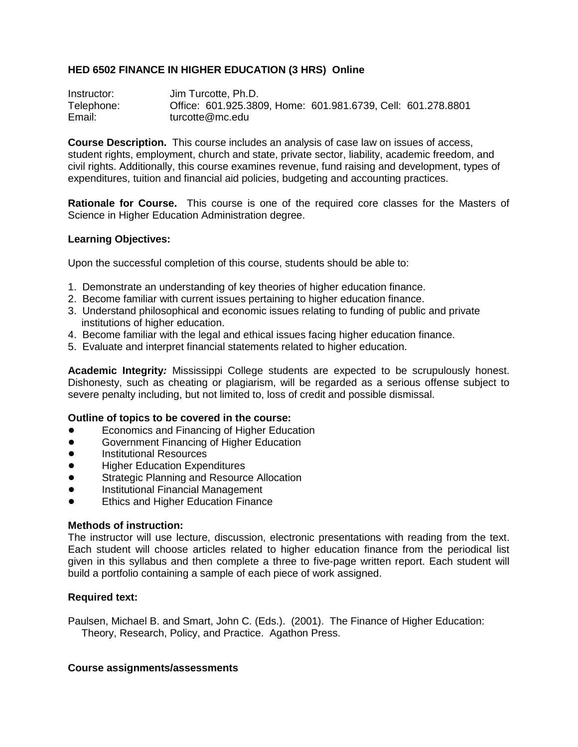# **HED 6502 FINANCE IN HIGHER EDUCATION (3 HRS) Online**

Instructor: Jim Turcotte, Ph.D. Telephone: Office: 601.925.3809, Home: 601.981.6739, Cell: 601.278.8801 Email: turcotte@mc.edu

**Course Description.** This course includes an analysis of case law on issues of access, student rights, employment, church and state, private sector, liability, academic freedom, and civil rights. Additionally, this course examines revenue, fund raising and development, types of expenditures, tuition and financial aid policies, budgeting and accounting practices.

**Rationale for Course.** This course is one of the required core classes for the Masters of Science in Higher Education Administration degree.

## **Learning Objectives:**

Upon the successful completion of this course, students should be able to:

- 1. Demonstrate an understanding of key theories of higher education finance.
- 2. Become familiar with current issues pertaining to higher education finance.
- 3. Understand philosophical and economic issues relating to funding of public and private institutions of higher education.
- 4. Become familiar with the legal and ethical issues facing higher education finance.
- 5. Evaluate and interpret financial statements related to higher education.

**Academic Integrity***:* Mississippi College students are expected to be scrupulously honest. Dishonesty, such as cheating or plagiarism, will be regarded as a serious offense subject to severe penalty including, but not limited to, loss of credit and possible dismissal.

## **Outline of topics to be covered in the course:**

- Economics and Financing of Higher Education
- **•** Government Financing of Higher Education
- **•** Institutional Resources
- **Higher Education Expenditures**
- **Strategic Planning and Resource Allocation**
- **•** Institutional Financial Management
- **•** Ethics and Higher Education Finance

## **Methods of instruction:**

The instructor will use lecture, discussion, electronic presentations with reading from the text. Each student will choose articles related to higher education finance from the periodical list given in this syllabus and then complete a three to five-page written report. Each student will build a portfolio containing a sample of each piece of work assigned.

## **Required text:**

Paulsen, Michael B. and Smart, John C. (Eds.). (2001). The Finance of Higher Education: Theory, Research, Policy, and Practice. Agathon Press.

## **Course assignments/assessments**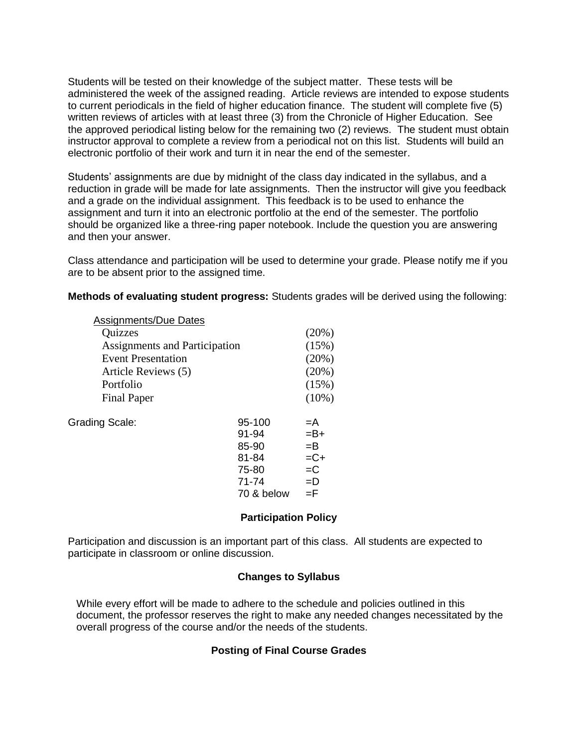Students will be tested on their knowledge of the subject matter. These tests will be administered the week of the assigned reading. Article reviews are intended to expose students to current periodicals in the field of higher education finance. The student will complete five (5) written reviews of articles with at least three (3) from the Chronicle of Higher Education. See the approved periodical listing below for the remaining two (2) reviews. The student must obtain instructor approval to complete a review from a periodical not on this list. Students will build an electronic portfolio of their work and turn it in near the end of the semester.

Students' assignments are due by midnight of the class day indicated in the syllabus, and a reduction in grade will be made for late assignments. Then the instructor will give you feedback and a grade on the individual assignment. This feedback is to be used to enhance the assignment and turn it into an electronic portfolio at the end of the semester. The portfolio should be organized like a three-ring paper notebook. Include the question you are answering and then your answer.

Class attendance and participation will be used to determine your grade. Please notify me if you are to be absent prior to the assigned time.

**Methods of evaluating student progress:** Students grades will be derived using the following:

|                           | <b>Assignments/Due Dates</b>         |            |          |
|---------------------------|--------------------------------------|------------|----------|
|                           | Quizzes                              |            | (20%)    |
|                           | <b>Assignments and Participation</b> |            |          |
| <b>Event Presentation</b> |                                      |            | (20%)    |
|                           | Article Reviews (5)                  |            | (20%)    |
|                           | Portfolio                            |            | (15%)    |
|                           | <b>Final Paper</b>                   |            | $(10\%)$ |
| <b>Grading Scale:</b>     |                                      | 95-100     | $=A$     |
|                           |                                      | 91-94      | $= B +$  |
|                           |                                      | 85-90      | $=$ B    |
|                           |                                      | 81-84      | $=C+$    |
|                           |                                      | 75-80      | $=C$     |
|                           |                                      | $71 - 74$  | $=$ D    |
|                           |                                      | 70 & below | ΞF       |
|                           |                                      |            |          |

# **Participation Policy**

Participation and discussion is an important part of this class. All students are expected to participate in classroom or online discussion.

## **Changes to Syllabus**

While every effort will be made to adhere to the schedule and policies outlined in this document, the professor reserves the right to make any needed changes necessitated by the overall progress of the course and/or the needs of the students.

# **Posting of Final Course Grades**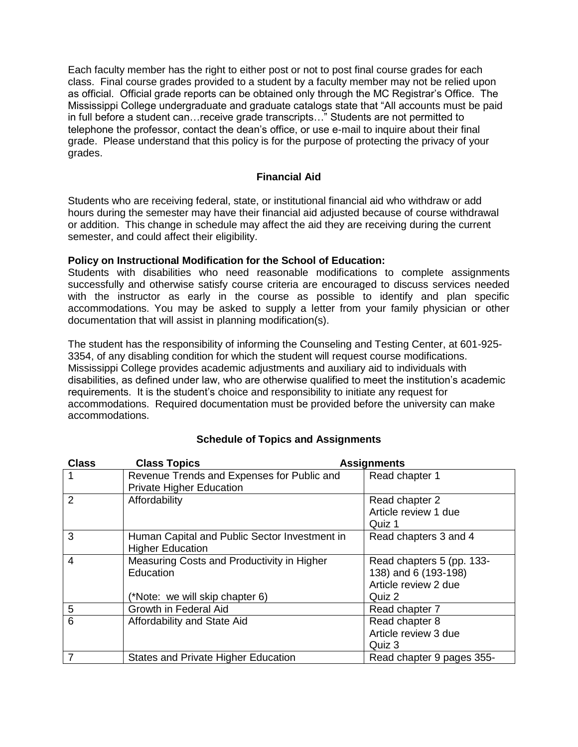Each faculty member has the right to either post or not to post final course grades for each class. Final course grades provided to a student by a faculty member may not be relied upon as official. Official grade reports can be obtained only through the MC Registrar's Office. The Mississippi College undergraduate and graduate catalogs state that "All accounts must be paid in full before a student can...receive grade transcripts..." Students are not permitted to telephone the professor, contact the dean's office, or use e-mail to inquire about their final grade. Please understand that this policy is for the purpose of protecting the privacy of your grades.

# **Financial Aid**

Students who are receiving federal, state, or institutional financial aid who withdraw or add hours during the semester may have their financial aid adjusted because of course withdrawal or addition. This change in schedule may affect the aid they are receiving during the current semester, and could affect their eligibility.

# **Policy on Instructional Modification for the School of Education:**

Students with disabilities who need reasonable modifications to complete assignments successfully and otherwise satisfy course criteria are encouraged to discuss services needed with the instructor as early in the course as possible to identify and plan specific accommodations. You may be asked to supply a letter from your family physician or other documentation that will assist in planning modification(s).

The student has the responsibility of informing the Counseling and Testing Center, at 601-925- 3354, of any disabling condition for which the student will request course modifications. Mississippi College provides academic adjustments and auxiliary aid to individuals with disabilities, as defined under law, who are otherwise qualified to meet the institution's academic requirements. It is the student's choice and responsibility to initiate any request for accommodations. Required documentation must be provided before the university can make accommodations.

| <b>Class</b>             | <b>Class Topics</b>                                                           | <b>Assignments</b>        |
|--------------------------|-------------------------------------------------------------------------------|---------------------------|
| $\overline{\phantom{0}}$ | Revenue Trends and Expenses for Public and<br><b>Private Higher Education</b> | Read chapter 1            |
| 2                        | Affordability                                                                 | Read chapter 2            |
|                          |                                                                               | Article review 1 due      |
|                          |                                                                               | Quiz 1                    |
| 3                        | Human Capital and Public Sector Investment in                                 | Read chapters 3 and 4     |
|                          | <b>Higher Education</b>                                                       |                           |
| $\overline{4}$           | Measuring Costs and Productivity in Higher                                    | Read chapters 5 (pp. 133- |
|                          | Education                                                                     | 138) and 6 (193-198)      |
|                          |                                                                               | Article review 2 due      |
|                          | (*Note: we will skip chapter 6)                                               | Quiz 2                    |
| 5                        | Growth in Federal Aid                                                         | Read chapter 7            |
| 6                        | Affordability and State Aid                                                   | Read chapter 8            |
|                          |                                                                               | Article review 3 due      |
|                          |                                                                               | Quiz 3                    |
| $\overline{7}$           | States and Private Higher Education                                           | Read chapter 9 pages 355- |

# **Schedule of Topics and Assignments**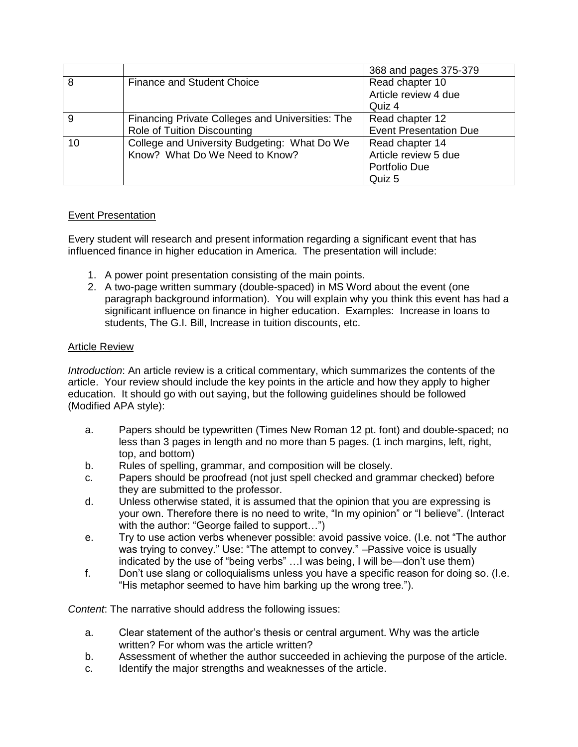|    |                                                  | 368 and pages 375-379         |
|----|--------------------------------------------------|-------------------------------|
| 8  | <b>Finance and Student Choice</b>                | Read chapter 10               |
|    |                                                  | Article review 4 due          |
|    |                                                  | Quiz 4                        |
| 9  | Financing Private Colleges and Universities: The | Read chapter 12               |
|    | Role of Tuition Discounting                      | <b>Event Presentation Due</b> |
| 10 | College and University Budgeting: What Do We     | Read chapter 14               |
|    | Know? What Do We Need to Know?                   | Article review 5 due          |
|    |                                                  | Portfolio Due                 |
|    |                                                  | Quiz 5                        |

# Event Presentation

Every student will research and present information regarding a significant event that has influenced finance in higher education in America. The presentation will include:

- 1. A power point presentation consisting of the main points.
- 2. A two-page written summary (double-spaced) in MS Word about the event (one paragraph background information). You will explain why you think this event has had a significant influence on finance in higher education. Examples: Increase in loans to students, The G.I. Bill, Increase in tuition discounts, etc.

# Article Review

*Introduction*: An article review is a critical commentary, which summarizes the contents of the article. Your review should include the key points in the article and how they apply to higher education. It should go with out saying, but the following guidelines should be followed (Modified APA style):

- a. Papers should be typewritten (Times New Roman 12 pt. font) and double-spaced; no less than 3 pages in length and no more than 5 pages. (1 inch margins, left, right, top, and bottom)
- b. Rules of spelling, grammar, and composition will be closely.
- c. Papers should be proofread (not just spell checked and grammar checked) before they are submitted to the professor.
- d. Unless otherwise stated, it is assumed that the opinion that you are expressing is your own. Therefore there is no need to write, "In my opinion" or "I believe". (Interact with the author: "George failed to support...")
- e. Try to use action verbs whenever possible: avoid passive voice. (I.e. not "The author was trying to convey." Use: "The attempt to convey." – Passive voice is usually indicated by the use of "being verbs" ... I was being, I will be—don't use them)
- f. Don't use slang or colloquialisms unless you have a specific reason for doing so. (I.e. "His metaphor seemed to have him barking up the wrong tree.").

*Content*: The narrative should address the following issues:

- a. Clear statement of the author's thesis or central argument. Why was the article written? For whom was the article written?
- b. Assessment of whether the author succeeded in achieving the purpose of the article.
- c. Identify the major strengths and weaknesses of the article.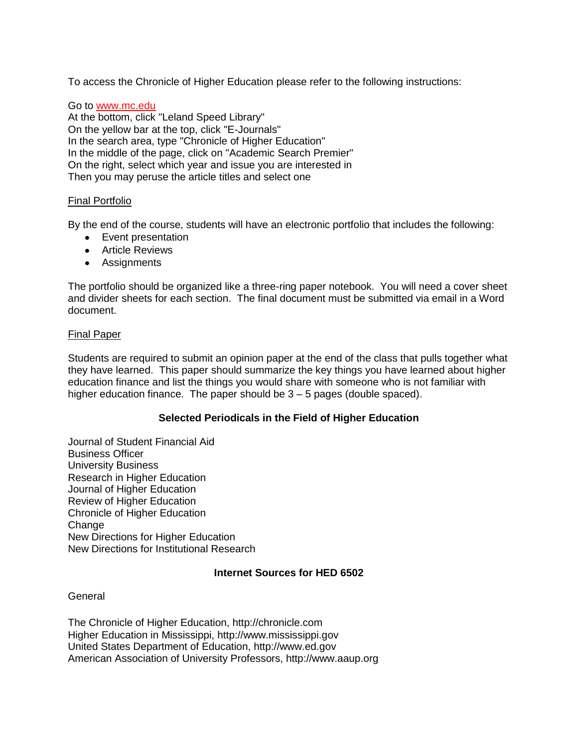To access the Chronicle of Higher Education please refer to the following instructions:

Go to www.mc.edu At the bottom, click "Leland Speed Library" On the yellow bar at the top, click "E-Journals" In the search area, type "Chronicle of Higher Education" In the middle of the page, click on "Academic Search Premier" On the right, select which year and issue you are interested in Then you may peruse the article titles and select one

#### Final Portfolio

By the end of the course, students will have an electronic portfolio that includes the following:

- Event presentation
- Article Reviews
- Assignments

The portfolio should be organized like a three-ring paper notebook. You will need a cover sheet and divider sheets for each section. The final document must be submitted via email in a Word document.

#### Final Paper

Students are required to submit an opinion paper at the end of the class that pulls together what they have learned. This paper should summarize the key things you have learned about higher education finance and list the things you would share with someone who is not familiar with higher education finance. The paper should be 3 – 5 pages (double spaced).

#### **Selected Periodicals in the Field of Higher Education**

Journal of Student Financial Aid Business Officer University Business Research in Higher Education Journal of Higher Education Review of Higher Education Chronicle of Higher Education **Change** New Directions for Higher Education New Directions for Institutional Research

#### **Internet Sources for HED 6502**

**General** 

The Chronicle of Higher Education, http://chronicle.com Higher Education in Mississippi, http://www.mississippi.gov United States Department of Education, http://www.ed.gov American Association of University Professors, http://www.aaup.org